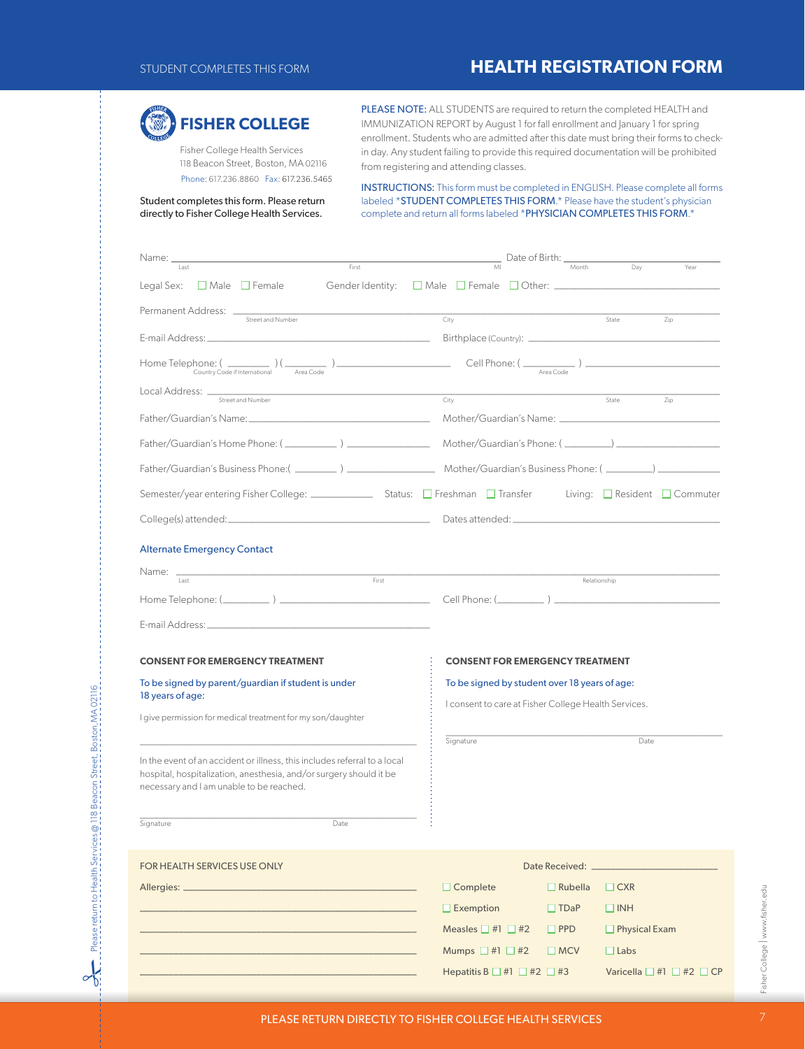## STUDENT COMPLETES THIS FORM **HEALTH REGISTRATION FORM**



Please return to Health Services @ 118 Beacon Street, Boston,MA 02116

Please return to Health Services @ 118 Beacon Street, Boston, MA 02116

 $\sim$ 

 Fisher College Health Services 118 Beacon Street, Boston, MA 02116 Phone: 617.236.8860 Fax: 617.236.5465 PLEASE NOTE: ALL STUDENTS are required to return the completed HEALTH and IMMUNIZATION REPORT by August 1 for fall enrollment and January 1 for spring enrollment. Students who are admitted after this date must bring their forms to checkin day. Any student failing to provide this required documentation will be prohibited from registering and attending classes.

INSTRUCTIONS: This form must be completed in ENGLISH. Please complete all forms labeled \*STUDENT COMPLETES THIS FORM.\* Please have the student's physician complete and return all forms labeled \*PHYSICIAN COMPLETES THIS FORM.\*

#### Student completes this form. Please return directly to Fisher College Health Services.

| Name:<br>Last<br>First                                                                                                                          | Date of Birth: _<br>Month<br>Day<br>MI<br>Year                                                        |  |  |
|-------------------------------------------------------------------------------------------------------------------------------------------------|-------------------------------------------------------------------------------------------------------|--|--|
| Legal Sex:<br>$\Box$ Male $\Box$ Female                                                                                                         |                                                                                                       |  |  |
| Permanent Address: _                                                                                                                            |                                                                                                       |  |  |
| Street and Number<br>the control of the control of the control of the control of                                                                | City<br>State<br>Zip                                                                                  |  |  |
| E-mail Address: _______________                                                                                                                 |                                                                                                       |  |  |
| Home Telephone: ( Country Code if International $\frac{1}{2}$                                                                                   | $\frac{1}{\frac{1}{\sqrt{1-\frac{1}{2}}}}$ Cell Phone: ( $\frac{1}{\frac{1}{2}}$ )                    |  |  |
| Local Address: __<br>Street and Number                                                                                                          | City<br>State<br>Zip                                                                                  |  |  |
|                                                                                                                                                 |                                                                                                       |  |  |
|                                                                                                                                                 |                                                                                                       |  |  |
|                                                                                                                                                 |                                                                                                       |  |  |
|                                                                                                                                                 |                                                                                                       |  |  |
| College(s) attended: <u>and the college(s)</u> attended: <b>and the college(s)</b> attended:                                                    |                                                                                                       |  |  |
| <b>Alternate Emergency Contact</b>                                                                                                              |                                                                                                       |  |  |
| Name: _                                                                                                                                         |                                                                                                       |  |  |
| First<br>Last                                                                                                                                   | Relationship                                                                                          |  |  |
|                                                                                                                                                 |                                                                                                       |  |  |
|                                                                                                                                                 |                                                                                                       |  |  |
| <b>CONSENT FOR EMERGENCY TREATMENT</b>                                                                                                          | <b>CONSENT FOR EMERGENCY TREATMENT</b>                                                                |  |  |
| To be signed by parent/guardian if student is under                                                                                             | To be signed by student over 18 years of age:<br>I consent to care at Fisher College Health Services. |  |  |
| 18 years of age:                                                                                                                                |                                                                                                       |  |  |
| I give permission for medical treatment for my son/daughter                                                                                     |                                                                                                       |  |  |
|                                                                                                                                                 | Signature<br>Date                                                                                     |  |  |
| In the event of an accident or illness, this includes referral to a local<br>hospital, hospitalization, anesthesia, and/or surgery should it be |                                                                                                       |  |  |
| necessary and I am unable to be reached.                                                                                                        |                                                                                                       |  |  |
|                                                                                                                                                 |                                                                                                       |  |  |
| Signature<br>Date                                                                                                                               |                                                                                                       |  |  |
| FOR HEALTH SERVICES USE ONLY                                                                                                                    |                                                                                                       |  |  |
|                                                                                                                                                 | $\Box$ Complete<br>$\Box$ Rubella<br>$\Box$ CXR                                                       |  |  |
|                                                                                                                                                 | $\Box$ Exemption<br>$\Box$ INH<br>$\Box$ TDaP                                                         |  |  |
|                                                                                                                                                 | Measles $\Box$ #1 $\Box$ #2<br>$\Box$ Physical Exam<br>$\square$ PPD                                  |  |  |
|                                                                                                                                                 | Mumps $\Box$ #1 $\Box$ #2<br>$\Box$ MCV<br>$\Box$ Labs                                                |  |  |

Hepatitis B  $\Box$  #1  $\Box$  #2  $\Box$  #3 Varicella  $\Box$  #1  $\Box$  #2  $\Box$  CP